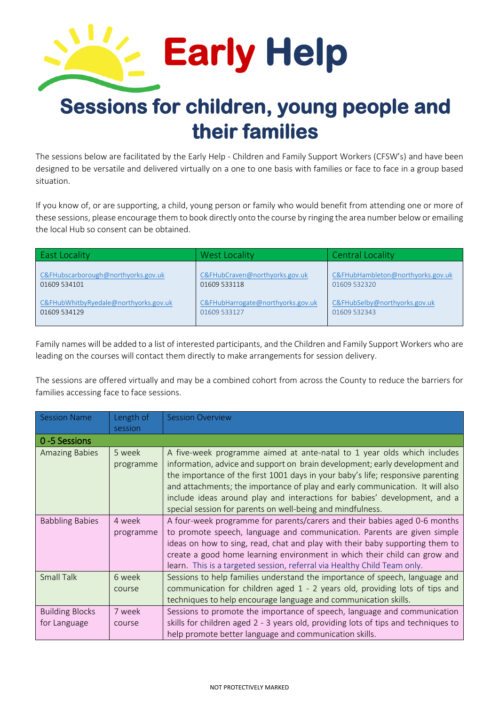

## **Sessions for children, young people and their families**

The sessions below are facilitated by the Early Help - Children and Family Support Workers (CFSW's) and have been designed to be versatile and delivered virtually on a one to one basis with families or face to face in a group based situation.

If you know of, or are supporting, a child, young person or family who would benefit from attending one or more of these sessions, please encourage them to book directly onto the course by ringing the area number belowor emailing the local Hub so consent can be obtained.

| <b>East Locality</b>                  | West Locality                     | <b>Central Locality</b>           |
|---------------------------------------|-----------------------------------|-----------------------------------|
| C&FHubscarborough@northyorks.gov.uk   | C&FHubCraven@northyorks.gov.uk    | C&FHubHambleton@northyorks.gov.uk |
| 01609 534101                          | 01609 533118                      | 01609 532320                      |
| C&FHubWhitbyRyedale@northyorks.gov.uk | C&FHubHarrogate@northyorks.gov.uk | C&FHubSelby@northyorks.gov.uk     |
| 01609 534129                          | 01609 533127                      | 01609 532343                      |

Family names will be added to a list of interested participants, and the Children and Family Support Workers who are leading on the courses will contact them directly to make arrangements for session delivery.

The sessions are offered virtually and may be a combined cohort from across the County to reduce the barriers for families accessing face to face sessions.

| <b>Session Name</b>                    | Length of           | <b>Session Overview</b>                                                                                                                                                                                                                                                                                                                                                                                                                                               |
|----------------------------------------|---------------------|-----------------------------------------------------------------------------------------------------------------------------------------------------------------------------------------------------------------------------------------------------------------------------------------------------------------------------------------------------------------------------------------------------------------------------------------------------------------------|
| 0-5 Sessions                           | session             |                                                                                                                                                                                                                                                                                                                                                                                                                                                                       |
| <b>Amazing Babies</b>                  | 5 week<br>programme | A five-week programme aimed at ante-natal to 1 year olds which includes<br>information, advice and support on brain development; early development and<br>the importance of the first 1001 days in your baby's life; responsive parenting<br>and attachments; the importance of play and early communication. It will also<br>include ideas around play and interactions for babies' development, and a<br>special session for parents on well-being and mindfulness. |
| <b>Babbling Babies</b>                 | 4 week<br>programme | A four-week programme for parents/carers and their babies aged 0-6 months<br>to promote speech, language and communication. Parents are given simple<br>ideas on how to sing, read, chat and play with their baby supporting them to<br>create a good home learning environment in which their child can grow and<br>learn. This is a targeted session, referral via Healthy Child Team only.                                                                         |
| <b>Small Talk</b>                      | 6 week<br>course    | Sessions to help families understand the importance of speech, language and<br>communication for children aged 1 - 2 years old, providing lots of tips and<br>techniques to help encourage language and communication skills.                                                                                                                                                                                                                                         |
| <b>Building Blocks</b><br>for Language | 7 week<br>course    | Sessions to promote the importance of speech, language and communication<br>skills for children aged 2 - 3 years old, providing lots of tips and techniques to<br>help promote better language and communication skills.                                                                                                                                                                                                                                              |